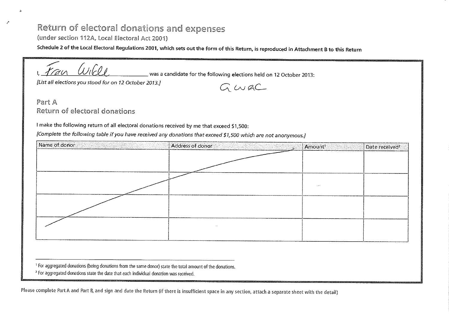## Return of electoral donations and expenses

(under section 112A, Local Electoral Act 2001)

Schedule 2 of the Local Electoral Regulations 2001, which sets out the form of this Return, is reproduced in Attachment B to this Return

*frao ((hot* was a candidate for the following elections held on 12 October 2013:

 $Gwac$ 

*[List all elections you stood for on 12 October 2013.]* 

Part A Return of electoral donations

I make the following return of all electoral donations received by me that exceed \$1,500:

*[Complete the following table if you have received any donations that exceed \$1,500 which are not anonymous.]* 

| Name of donor | Address of donor | Amount <sup>1</sup> | Date received <sup>2</sup> |
|---------------|------------------|---------------------|----------------------------|
|               |                  |                     |                            |
|               |                  |                     |                            |
|               |                  | $\sim 10^{-10}$     |                            |
|               |                  |                     |                            |
|               | $\sim$           |                     |                            |
|               |                  |                     |                            |

'For aggregated donations (being donations from the same donor) state the total amount of the donations.

<sup>2</sup> For aggregated donations state the date that each individual donation was received.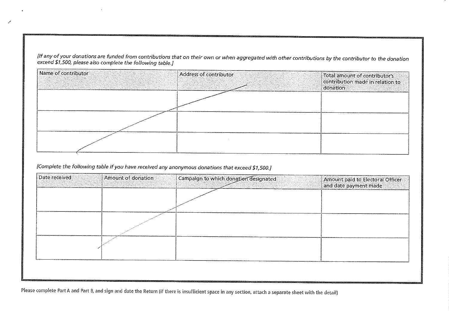*litany of your donations are funded from contributions that on their own or when aggregated with other contributions by the contributor to the donation exceed \$1,500, please also complete the following table.]* 

| Name of contributor | Address of contributor | Total amount of contributor's<br>contribution made in relation to<br>donation |
|---------------------|------------------------|-------------------------------------------------------------------------------|
|                     |                        |                                                                               |
|                     |                        |                                                                               |
|                     |                        |                                                                               |

*[Complete the following table if you have received any anonymous donations that exceed \$1,500.]* 

| Date received | Amount of donation | Campaign to which donation designated | Amount paid to Electoral Officer<br>and date payment made |
|---------------|--------------------|---------------------------------------|-----------------------------------------------------------|
|               |                    |                                       |                                                           |
|               |                    |                                       |                                                           |
|               |                    |                                       |                                                           |
|               |                    |                                       |                                                           |
|               |                    |                                       |                                                           |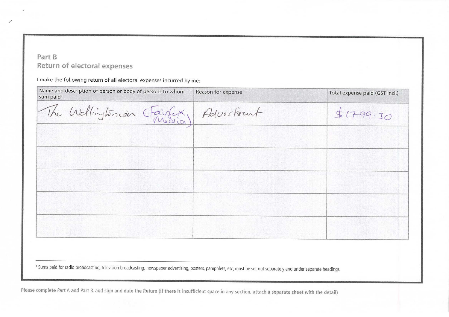## Part B Return of electoral expenses

I make the following return of all electoral expenses incurred by me:

| Name and description of person or body of persons to whom<br>sum paid <sup>3</sup> | Reason for expense | Total expense paid (GST incl.) |
|------------------------------------------------------------------------------------|--------------------|--------------------------------|
| The Wellingtonian (Fairfex) Advertisent                                            |                    | 51799.30                       |
|                                                                                    |                    |                                |
|                                                                                    |                    |                                |
|                                                                                    |                    |                                |
|                                                                                    |                    |                                |
|                                                                                    |                    |                                |

<sup>3</sup> Sums paid for radio broadcasting, television broadcasting, newspaper advertising, posters, pamphlets, etc, must be set out separately and under separate headings.